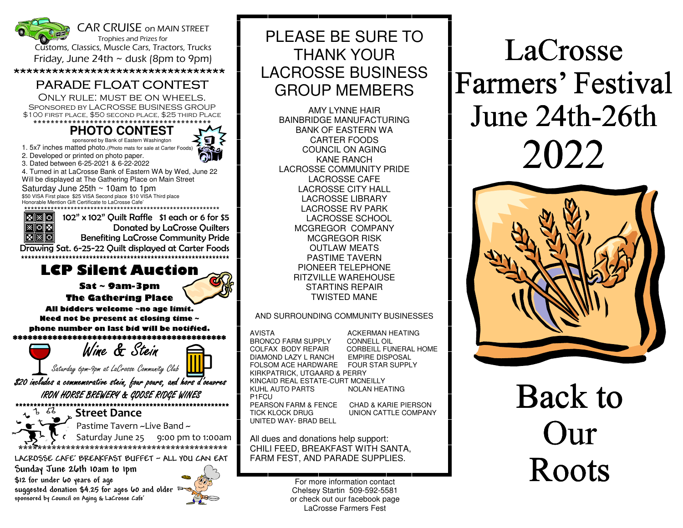

\*\*\*\*\*\*\*\*\*\*\*\*\*\*\*\*\*\*\*\*\*\*\*\*\*\*\*\*\*\*\*\*\*

#### PARADE FLOAT CONTEST

 Only rule: must be on wheels. Sponsored by LACROSSE BUSINESS GROUP \$100 first place, \$50 second place, \$25 third Place

#### \*\*\*\*\*\*\*\*\*\*\*\*\*\*\*\*\*\*\*\*\*\*\*\*\*\*\*\*\*\*\*\*\*\*\*\*\*\*\*\*\* **PHOTO CONTEST**

sponsored by Bank of Eastern Washington

1. 5x7 inches matted photo.(Photo mats for sale at Carter Foods)

2. Developed or printed on photo paper.

 3. Dated between 6-25-2021 & 6-22-2022 4. Turned in at LaCrosse Bank of Eastern WA by Wed, June 22

Will be displayed at The Gathering Place on Main Street

Saturday June 25th ~ 10am to 1pm \$50 VISA First place \$25 VISA Second place \$10 VISA Third place Honorable Mention Gift Certificate to LaCrosse Cafe' \*\*\*\*\*\*\*\*\*\*\*\*\*\*\*\*\*\*\*\*\*\*\*\*\*\*\*\*\*\*\*\*\*\*\*\*\*\*\*\*\*\*\*\*\*\*\*\*\*\*\*\*\*\*\*\*\*\*\*

※ 零 ※ ※ ※ ◎

 102" x 102" Quilt Raffle \$1 each or 6 for \$5 Donated by LaCrosse Quilters Benefiting LaCrosse Community Pride

 Drawing Sat. 6-25-22 Quilt displayed at Carter Foods \*\*\*\*\*\*\*\*\*\*\*\*\*\*\*\*\*\*\*\*\*\*\*\*\*\*\*\*\*\*\*\*\*\*\*\*\*\*\*\*\*\*\*\*\*\*\*\*\*\*\*\*\*\*\*\*\*\*\*\*\*

#### **LCP Silent Auction**

**Sat ~ 9am-3pm**

**The Gathering Place** 

**All bidders welcome ~no age limit. Need not be present at closing time ~ phone number on last bid will be notified.** \*\*\*\*\*\*\*\*\*\*\*\*\*\*\*\*\*\*\*\*\*\*\*\*\*\*\*\*\*\*\*\*

Wine & Stein

Saturday 6pm-9pm at LaCrosse Community Club

\$20 includes a commemorative stein, four pours, and hors d'oeuvres IRON HORSE BREWERY & GOOSE RIDGE WINES

 \*\*\*\*\*\*\*\*\*\*\*\*\*\*\*\*\*\*\*\*\*\*\*\*\*\*\*\*\*\*\*\*\*\*\*\*\*\*\*\*\*\*\*\*\*\*\*\*\*\*\*\*\*\*\*\*\*\*\*<sup>1</sup><sup>5</sup><sup>2</sup> Street Dance



Pastime Tavern ~Live Band ~

 Saturday June 25 9:00 pm to 1:00am \*\*\*\*\*\*\*\*\*\*\*\*\*\*\*\*\*\*\*\*\*\*\*\*\*\*\*\*\*\*\*\*\*\*\*\*\*\*\*\*\*\*\*\*

**LACROSSE CAFE' BREAKFAST BUFFET ~ ALL YOU CAN EAT** 

**Sunday June 26th 10am to 1pm \$12 for under 60 years of age suggested donation \$4.25 for ages 60 and older sponsored by Council on Aging & LaCrosse Cafe'** 



# PLEASE BE SURE TO THANK YOUR LACROSSE BUSINESS GROUP MEMBERS

AMY LYNNE HAIR BAINBRIDGE MANUFACTURING BANK OF EASTERN WA CARTER FOODS COUNCIL ON AGING KANE RANCH LACROSSE COMMUNITY PRIDE LACROSSE CAFE LACROSSE CITY HALL LACROSSE LIBRARY LACROSSE RV PARK LACROSSE SCHOOL MCGREGOR COMPANY MCGREGOR RISK OUTLAW MEATS PASTIME TAVERN PIONEER TELEPHONE RITZVILLE WAREHOUSE STARTINS REPAIR TWISTED MANE

#### AND SURROUNDING COMMUNITY BUSINESSES

AVISTA ACKERMAN HEATING BRONCO FARM SUPPLY CONNELL OIL COLFAX BODY REPAIR CORBEILL FUNERAL HOME DIAMOND LAZY L RANCH EMPIRE DISPOSAL **FOUR STAR SUPPLY** FOLSOM ACE HARDWARE KIRKPATRICK, UTGAARD & PERRY KINCAID REAL ESTATE-CURT MCNEILLY

NOI AN HEATING

KUHL AUTO PARTS P1FCU UNITED WAY- BRAD BELL

 PEARSON FARM & FENCE CHAD & KARIE PIERSON TICK KLOCK DRUG UNION CATTLE COMPANY

All dues and donations help support: CHILI FEED, BREAKFAST WITH SANTA, FARM FEST, AND PARADE SUPPLIES.

> For more information contact Chelsey Startin 509-592-5581 or check out our facebook page LaCrosse Farmers Fest

# LaCrosse Farmers' Festival June 24th-26th 2022



Back to Our Roots